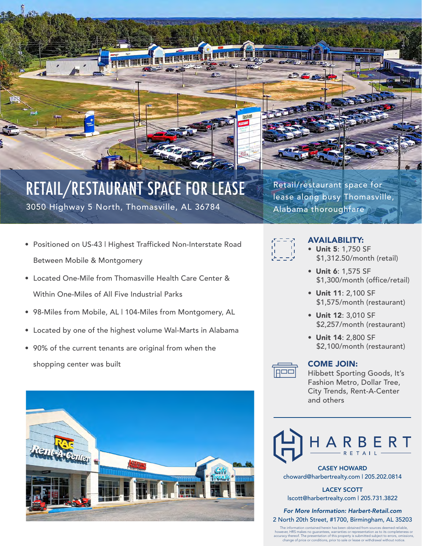

### RETAIL/RESTAURANT SPACE FOR LEASE 3050 Highway 5 North, Thomasville, AL 36784

- Positioned on US-43 | Highest Trafficked Non-Interstate Road Between Mobile & Montgomery
- Located One-Mile from Thomasville Health Care Center & Within One-Miles of All Five Industrial Parks
- 98-Miles from Mobile, AL | 104-Miles from Montgomery, AL
- Located by one of the highest volume Wal-Marts in Alabama
- 90% of the current tenants are original from when the shopping center was built





Retail/restaurant space for lease along busy Thomasville, Alabama thoroughfare



#### AVAILABILITY:

- Unit 5: 1,750 SF \$1,312.50/month (retail)
- Unit 6: 1,575 SF \$1,300/month (office/retail)
- Unit 11: 2,100 SF \$1,575/month (restaurant)
- Unit 12: 3,010 SF \$2,257/month (restaurant)
- Unit 14: 2,800 SF \$2,100/month (restaurant)

#### COME JOIN:

Hibbett Sporting Goods, It's Fashion Metro, Dollar Tree, City Trends, Rent-A-Center and others



CASEY HOWARD choward@harbertrealty.com | 205.202.0814

LACEY SCOTT lscott@harbertrealty.com | 205.731.3822

*For More Information: Harbert-Retail.com* 2 North 20th Street, #1700, Birmingham, AL 35203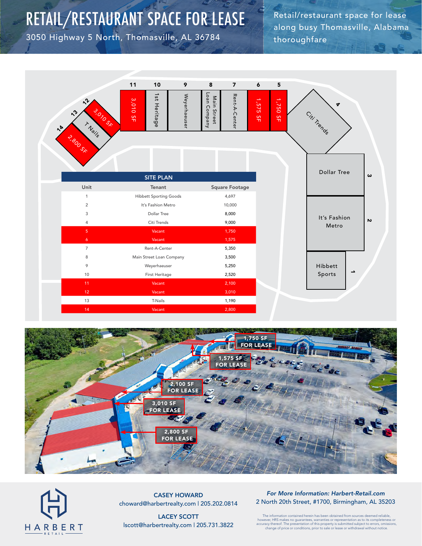### RETAIL/RESTAURANT SPACE FOR LEASE

3050 Highway 5 North, Thomasville, AL 36784

Retail/restaurant space for lease along busy Thomasville, Alabama thoroughfare







CASEY HOWARD choward@harbertrealty.com | 205.202.0814

LACEY SCOTT lscott@harbertrealty.com | 205.731.3822

#### *For More Information: Harbert-Retail.com* 2 North 20th Street, #1700, Birmingham, AL 35203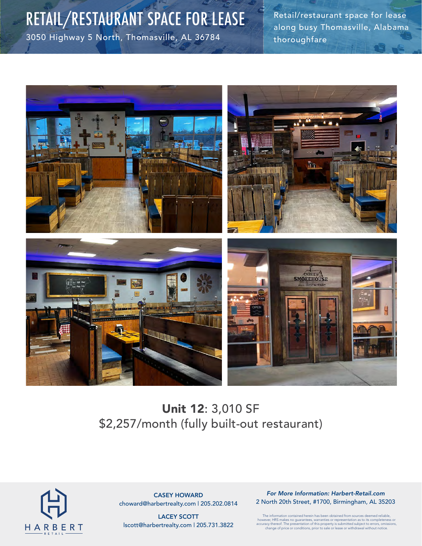# RETAIL/RESTAURANT SPACE FOR LEASE

3050 Highway 5 North, Thomasville, AL 36784

Retail/restaurant space for lease along busy Thomasville, Alabama thoroughfare



### Unit 12: 3,010 SF \$2,257/month (fully built-out restaurant)



CASEY HOWARD choward@harbertrealty.com | 205.202.0814

LACEY SCOTT lscott@harbertrealty.com | 205.731.3822

*For More Information: Harbert-Retail.com* 2 North 20th Street, #1700, Birmingham, AL 35203